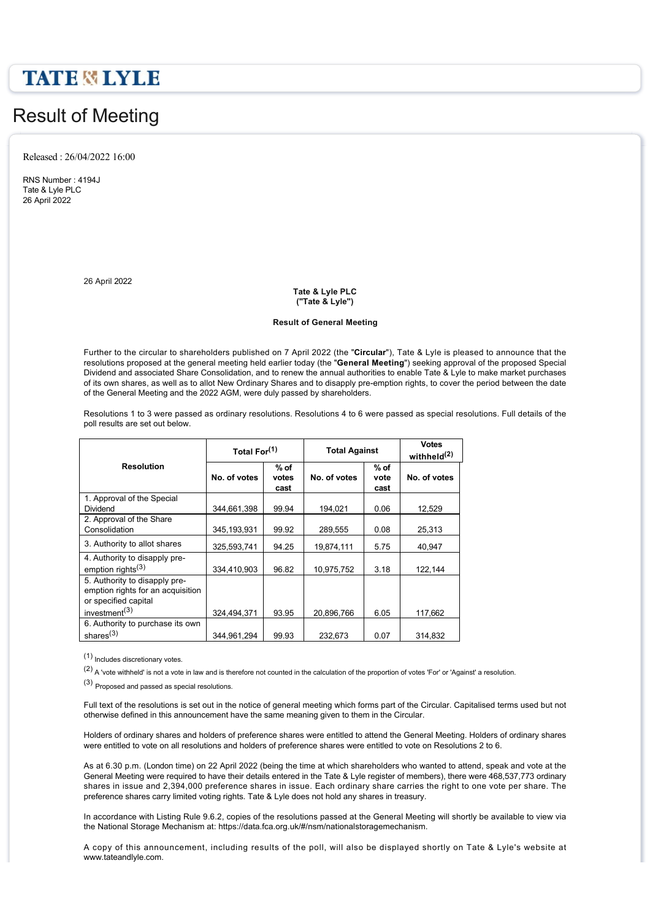## **TATE & LYLE**

# Result of Meeting

Released : 26/04/2022 16:00

RNS Number : 4194J Tate & Lyle PLC 26 April 2022

26 April 2022

**Tate & Lyle PLC ("Tate & Lyle")**

#### **Result of General Meeting**

Further to the circular to shareholders published on 7 April 2022 (the "**Circular**"), Tate & Lyle is pleased to announce that the resolutions proposed at the general meeting held earlier today (the "**General Meeting**") seeking approval of the proposed Special Dividend and associated Share Consolidation, and to renew the annual authorities to enable Tate & Lyle to make market purchases of its own shares, as well as to allot New Ordinary Shares and to disapply pre-emption rights, to cover the period between the date of the General Meeting and the 2022 AGM, were duly passed by shareholders.

Resolutions 1 to 3 were passed as ordinary resolutions. Resolutions 4 to 6 were passed as special resolutions. Full details of the poll results are set out below.

|                                                                                            | Total For <sup>(1)</sup> |                         | <b>Total Against</b> |                        | <b>Votes</b><br>withheld <sup>(2)</sup> |
|--------------------------------------------------------------------------------------------|--------------------------|-------------------------|----------------------|------------------------|-----------------------------------------|
| <b>Resolution</b>                                                                          | No. of votes             | $%$ of<br>votes<br>cast | No. of votes         | $%$ of<br>vote<br>cast | No. of votes                            |
| 1. Approval of the Special<br>Dividend                                                     | 344,661,398              | 99.94                   | 194,021              | 0.06                   | 12,529                                  |
| 2. Approval of the Share<br>Consolidation                                                  | 345,193,931              | 99.92                   | 289,555              | 0.08                   | 25,313                                  |
| 3. Authority to allot shares                                                               | 325,593,741              | 94.25                   | 19,874,111           | 5.75                   | 40.947                                  |
| 4. Authority to disapply pre-<br>emption rights $(3)$                                      | 334.410.903              | 96.82                   | 10,975,752           | 3.18                   | 122,144                                 |
| 5. Authority to disapply pre-<br>emption rights for an acquisition<br>or specified capital |                          |                         |                      |                        |                                         |
| investment <sup>(3)</sup>                                                                  | 324.494.371              | 93.95                   | 20.896.766           | 6.05                   | 117.662                                 |
| 6. Authority to purchase its own<br>shares $(3)$                                           | 344.961.294              | 99.93                   | 232,673              | 0.07                   | 314.832                                 |

(1) Includes discretionary votes.

(2) A 'vote withheld' is not a vote in law and is therefore not counted in the calculation of the proportion of votes 'For' or 'Against' a resolution.

(3) Proposed and passed as special resolutions.

Full text of the resolutions is set out in the notice of general meeting which forms part of the Circular. Capitalised terms used but not otherwise defined in this announcement have the same meaning given to them in the Circular.

Holders of ordinary shares and holders of preference shares were entitled to attend the General Meeting. Holders of ordinary shares were entitled to vote on all resolutions and holders of preference shares were entitled to vote on Resolutions 2 to 6.

As at 6.30 p.m. (London time) on 22 April 2022 (being the time at which shareholders who wanted to attend, speak and vote at the General Meeting were required to have their details entered in the Tate & Lyle register of members), there were 468,537,773 ordinary shares in issue and 2,394,000 preference shares in issue. Each ordinary share carries the right to one vote per share. The preference shares carry limited voting rights. Tate & Lyle does not hold any shares in treasury.

In accordance with Listing Rule 9.6.2, copies of the resolutions passed at the General Meeting will shortly be available to view via the National Storage Mechanism at: https://data.fca.org.uk/#/nsm/nationalstoragemechanism.

A copy of this announcement, including results of the poll, will also be displayed shortly on Tate & Lyle's website at www.tateandlyle.com.